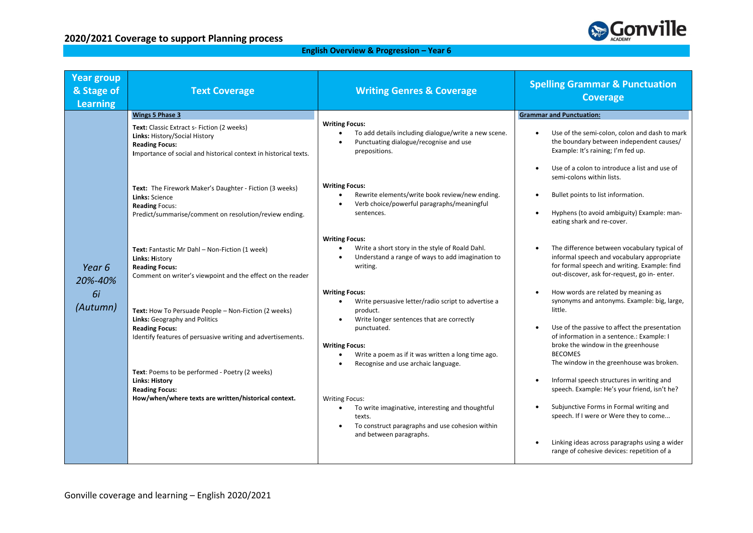

## **English Overview & Progression – Year 6**

| <b>Year group</b><br>& Stage of<br><b>Learning</b> | <b>Text Coverage</b>                                                                                                                                                                                                                                     | <b>Writing Genres &amp; Coverage</b>                                                                                                                                                                                                                                                                              | <b>Spelling Grammar &amp; Punctuation</b><br><b>Coverage</b>                                                                                                                                                                                                                                                                                 |
|----------------------------------------------------|----------------------------------------------------------------------------------------------------------------------------------------------------------------------------------------------------------------------------------------------------------|-------------------------------------------------------------------------------------------------------------------------------------------------------------------------------------------------------------------------------------------------------------------------------------------------------------------|----------------------------------------------------------------------------------------------------------------------------------------------------------------------------------------------------------------------------------------------------------------------------------------------------------------------------------------------|
|                                                    | <b>Wings 5 Phase 3</b>                                                                                                                                                                                                                                   |                                                                                                                                                                                                                                                                                                                   | <b>Grammar and Punctuation:</b>                                                                                                                                                                                                                                                                                                              |
|                                                    | Text: Classic Extract s- Fiction (2 weeks)<br>Links: History/Social History<br><b>Reading Focus:</b><br>Importance of social and historical context in historical texts.                                                                                 | <b>Writing Focus:</b><br>To add details including dialogue/write a new scene.<br>$\bullet$<br>Punctuating dialogue/recognise and use<br>$\bullet$<br>prepositions.                                                                                                                                                | Use of the semi-colon, colon and dash to mark<br>the boundary between independent causes/<br>Example: It's raining; I'm fed up.                                                                                                                                                                                                              |
|                                                    | Text: The Firework Maker's Daughter - Fiction (3 weeks)<br>Links: Science<br><b>Reading Focus:</b><br>Predict/summarise/comment on resolution/review ending.                                                                                             | <b>Writing Focus:</b><br>Rewrite elements/write book review/new ending.<br>Verb choice/powerful paragraphs/meaningful<br>$\bullet$<br>sentences.                                                                                                                                                                  | Use of a colon to introduce a list and use of<br>semi-colons within lists.<br>Bullet points to list information.<br>Hyphens (to avoid ambiguity) Example: man-<br>eating shark and re-cover.                                                                                                                                                 |
| Year 6<br>20%-40%                                  | Text: Fantastic Mr Dahl - Non-Fiction (1 week)<br>Links: History<br><b>Reading Focus:</b><br>Comment on writer's viewpoint and the effect on the reader                                                                                                  | <b>Writing Focus:</b><br>Write a short story in the style of Roald Dahl.<br>$\bullet$<br>Understand a range of ways to add imagination to<br>$\bullet$<br>writing.                                                                                                                                                | The difference between vocabulary typical of<br>informal speech and vocabulary appropriate<br>for formal speech and writing. Example: find<br>out-discover, ask for-request, go in- enter.                                                                                                                                                   |
| 6i<br>(Autumn)                                     | Text: How To Persuade People - Non-Fiction (2 weeks)<br><b>Links:</b> Geography and Politics<br><b>Reading Focus:</b><br>Identify features of persuasive writing and advertisements.<br>Text: Poems to be performed - Poetry (2 weeks)<br>Links: History | <b>Writing Focus:</b><br>Write persuasive letter/radio script to advertise a<br>$\bullet$<br>product.<br>Write longer sentences that are correctly<br>$\bullet$<br>punctuated.<br><b>Writing Focus:</b><br>Write a poem as if it was written a long time ago.<br>$\bullet$<br>Recognise and use archaic language. | How words are related by meaning as<br>synonyms and antonyms. Example: big, large,<br>little.<br>Use of the passive to affect the presentation<br>of information in a sentence.: Example: I<br>broke the window in the greenhouse<br><b>BECOMES</b><br>The window in the greenhouse was broken.<br>Informal speech structures in writing and |
|                                                    | <b>Reading Focus:</b><br>How/when/where texts are written/historical context.                                                                                                                                                                            | <b>Writing Focus:</b><br>To write imaginative, interesting and thoughtful<br>$\bullet$<br>texts.<br>To construct paragraphs and use cohesion within<br>$\bullet$<br>and between paragraphs.                                                                                                                       | speech. Example: He's your friend, isn't he?<br>Subjunctive Forms in Formal writing and<br>speech. If I were or Were they to come<br>Linking ideas across paragraphs using a wider<br>range of cohesive devices: repetition of a                                                                                                             |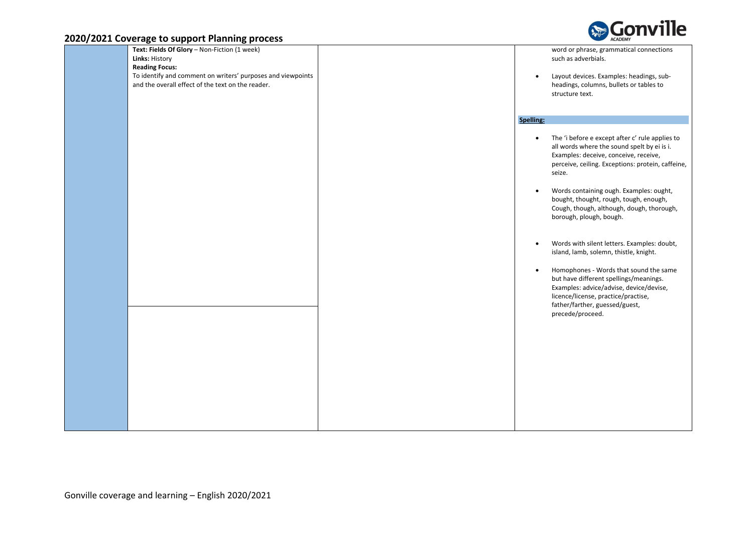

| Text: Fields Of Glory - Non-Fiction (1 week)                |           | word or phrase, grammatical connections                                           |
|-------------------------------------------------------------|-----------|-----------------------------------------------------------------------------------|
| Links: History                                              |           | such as adverbials.                                                               |
| <b>Reading Focus:</b>                                       |           |                                                                                   |
| To identify and comment on writers' purposes and viewpoints | $\bullet$ | Layout devices. Examples: headings, sub-                                          |
| and the overall effect of the text on the reader.           |           | headings, columns, bullets or tables to                                           |
|                                                             |           | structure text.                                                                   |
|                                                             |           |                                                                                   |
|                                                             |           |                                                                                   |
|                                                             | Spelling: |                                                                                   |
|                                                             | $\bullet$ | The 'i before e except after c' rule applies to                                   |
|                                                             |           | all words where the sound spelt by ei is i.                                       |
|                                                             |           | Examples: deceive, conceive, receive,                                             |
|                                                             |           | perceive, ceiling. Exceptions: protein, caffeine,                                 |
|                                                             |           | seize.                                                                            |
|                                                             |           |                                                                                   |
|                                                             | $\bullet$ | Words containing ough. Examples: ought,<br>bought, thought, rough, tough, enough, |
|                                                             |           | Cough, though, although, dough, thorough,                                         |
|                                                             |           | borough, plough, bough.                                                           |
|                                                             |           |                                                                                   |
|                                                             |           |                                                                                   |
|                                                             | $\bullet$ | Words with silent letters. Examples: doubt,                                       |
|                                                             |           | island, lamb, solemn, thistle, knight.                                            |
|                                                             |           |                                                                                   |
|                                                             | $\bullet$ | Homophones - Words that sound the same                                            |
|                                                             |           | but have different spellings/meanings.                                            |
|                                                             |           | Examples: advice/advise, device/devise,<br>licence/license, practice/practise,    |
|                                                             |           | father/farther, guessed/guest,                                                    |
|                                                             |           | precede/proceed.                                                                  |
|                                                             |           |                                                                                   |
|                                                             |           |                                                                                   |
|                                                             |           |                                                                                   |
|                                                             |           |                                                                                   |
|                                                             |           |                                                                                   |
|                                                             |           |                                                                                   |
|                                                             |           |                                                                                   |
|                                                             |           |                                                                                   |
|                                                             |           |                                                                                   |
|                                                             |           |                                                                                   |
|                                                             |           |                                                                                   |
|                                                             |           |                                                                                   |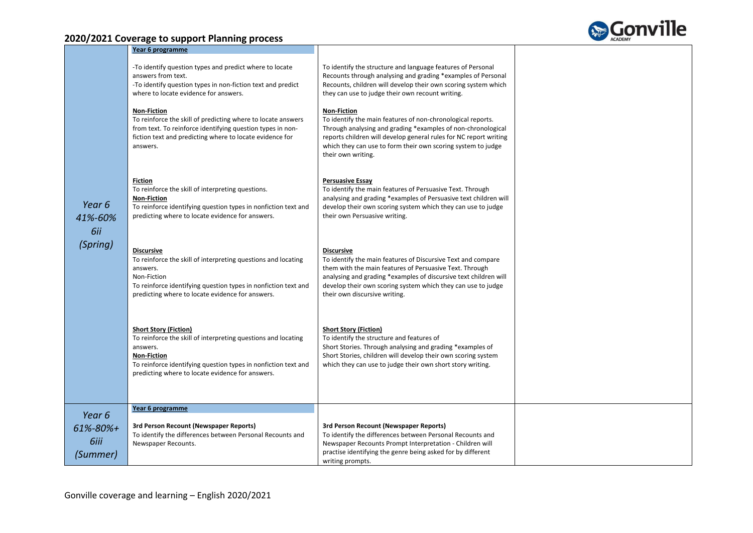

|                          | Year 6 programme                                                                                                                                                                                                                                      |                                                                                                                                                                                                                                                                                                                   |  |
|--------------------------|-------------------------------------------------------------------------------------------------------------------------------------------------------------------------------------------------------------------------------------------------------|-------------------------------------------------------------------------------------------------------------------------------------------------------------------------------------------------------------------------------------------------------------------------------------------------------------------|--|
|                          | -To identify question types and predict where to locate<br>answers from text.<br>-To identify question types in non-fiction text and predict<br>where to locate evidence for answers.                                                                 | To identify the structure and language features of Personal<br>Recounts through analysing and grading *examples of Personal<br>Recounts, children will develop their own scoring system which<br>they can use to judge their own recount writing.                                                                 |  |
|                          | <b>Non-Fiction</b><br>To reinforce the skill of predicting where to locate answers<br>from text. To reinforce identifying question types in non-<br>fiction text and predicting where to locate evidence for<br>answers.                              | <b>Non-Fiction</b><br>To identify the main features of non-chronological reports.<br>Through analysing and grading *examples of non-chronological<br>reports children will develop general rules for NC report writing<br>which they can use to form their own scoring system to judge<br>their own writing.      |  |
| Year 6<br>41%-60%<br>6ii | <b>Fiction</b><br>To reinforce the skill of interpreting questions.<br><b>Non-Fiction</b><br>To reinforce identifying question types in nonfiction text and<br>predicting where to locate evidence for answers.                                       | <b>Persuasive Essay</b><br>To identify the main features of Persuasive Text. Through<br>analysing and grading *examples of Persuasive text children will<br>develop their own scoring system which they can use to judge<br>their own Persuasive writing.                                                         |  |
| (Spring)                 | <b>Discursive</b><br>To reinforce the skill of interpreting questions and locating<br>answers.<br>Non-Fiction<br>To reinforce identifying question types in nonfiction text and<br>predicting where to locate evidence for answers.                   | <b>Discursive</b><br>To identify the main features of Discursive Text and compare<br>them with the main features of Persuasive Text. Through<br>analysing and grading *examples of discursive text children will<br>develop their own scoring system which they can use to judge<br>their own discursive writing. |  |
|                          | <b>Short Story (Fiction)</b><br>To reinforce the skill of interpreting questions and locating<br>answers.<br><b>Non-Fiction</b><br>To reinforce identifying question types in nonfiction text and<br>predicting where to locate evidence for answers. | <b>Short Story (Fiction)</b><br>To identify the structure and features of<br>Short Stories. Through analysing and grading *examples of<br>Short Stories, children will develop their own scoring system<br>which they can use to judge their own short story writing.                                             |  |
|                          | Year 6 programme                                                                                                                                                                                                                                      |                                                                                                                                                                                                                                                                                                                   |  |
| Year 6                   | 3rd Person Recount (Newspaper Reports)                                                                                                                                                                                                                | 3rd Person Recount (Newspaper Reports)                                                                                                                                                                                                                                                                            |  |
| $61\% - 80\% +$          | To identify the differences between Personal Recounts and                                                                                                                                                                                             | To identify the differences between Personal Recounts and                                                                                                                                                                                                                                                         |  |
| 6iii                     | Newspaper Recounts.                                                                                                                                                                                                                                   | Newspaper Recounts Prompt Interpretation - Children will<br>practise identifying the genre being asked for by different                                                                                                                                                                                           |  |
| (Summer)                 |                                                                                                                                                                                                                                                       | writing prompts.                                                                                                                                                                                                                                                                                                  |  |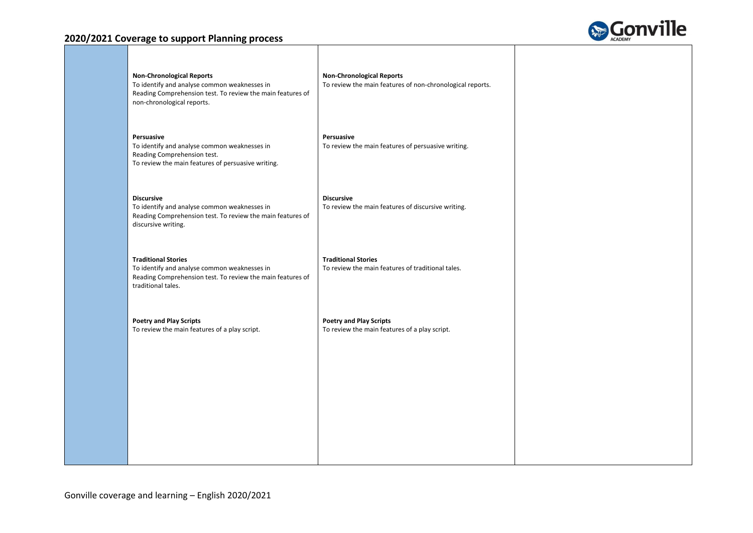

| <b>Non-Chronological Reports</b><br>To identify and analyse common weaknesses in<br>Reading Comprehension test. To review the main features of<br>non-chronological reports. | <b>Non-Chronological Reports</b><br>To review the main features of non-chronological reports. |  |
|------------------------------------------------------------------------------------------------------------------------------------------------------------------------------|-----------------------------------------------------------------------------------------------|--|
| Persuasive<br>To identify and analyse common weaknesses in<br>Reading Comprehension test.<br>To review the main features of persuasive writing.                              | Persuasive<br>To review the main features of persuasive writing.                              |  |
| <b>Discursive</b><br>To identify and analyse common weaknesses in<br>Reading Comprehension test. To review the main features of<br>discursive writing.                       | <b>Discursive</b><br>To review the main features of discursive writing.                       |  |
| <b>Traditional Stories</b><br>To identify and analyse common weaknesses in<br>Reading Comprehension test. To review the main features of<br>traditional tales.               | <b>Traditional Stories</b><br>To review the main features of traditional tales.               |  |
| <b>Poetry and Play Scripts</b><br>To review the main features of a play script.                                                                                              | <b>Poetry and Play Scripts</b><br>To review the main features of a play script.               |  |
|                                                                                                                                                                              |                                                                                               |  |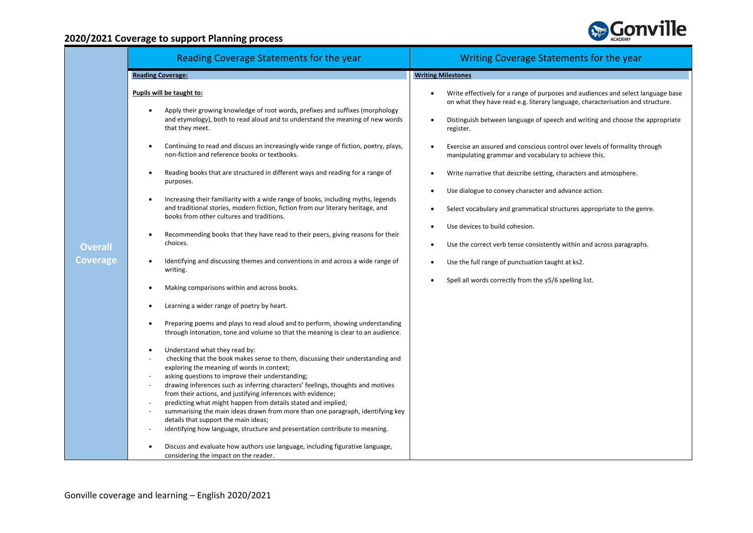

| Reading Coverage Statements for the year                                                                                                                                                                                                                                                                                                                                                                                                                                                                                                                                                                                                                                                                                                                                                                                                                                                                                                                                                                                                                                                                                                                                                                                                                                                                                                                                                                                                                                                                                                                                                                                                                                                                                                                                                                                                                                                                                                                                          | Writing Coverage Statements for the year                                                                                                                                                                                                                                                                                                                                                                                                                                                                                                                                                                                                                                                                                                                                                                                                                                                                     |
|-----------------------------------------------------------------------------------------------------------------------------------------------------------------------------------------------------------------------------------------------------------------------------------------------------------------------------------------------------------------------------------------------------------------------------------------------------------------------------------------------------------------------------------------------------------------------------------------------------------------------------------------------------------------------------------------------------------------------------------------------------------------------------------------------------------------------------------------------------------------------------------------------------------------------------------------------------------------------------------------------------------------------------------------------------------------------------------------------------------------------------------------------------------------------------------------------------------------------------------------------------------------------------------------------------------------------------------------------------------------------------------------------------------------------------------------------------------------------------------------------------------------------------------------------------------------------------------------------------------------------------------------------------------------------------------------------------------------------------------------------------------------------------------------------------------------------------------------------------------------------------------------------------------------------------------------------------------------------------------|--------------------------------------------------------------------------------------------------------------------------------------------------------------------------------------------------------------------------------------------------------------------------------------------------------------------------------------------------------------------------------------------------------------------------------------------------------------------------------------------------------------------------------------------------------------------------------------------------------------------------------------------------------------------------------------------------------------------------------------------------------------------------------------------------------------------------------------------------------------------------------------------------------------|
| <b>Reading Coverage:</b>                                                                                                                                                                                                                                                                                                                                                                                                                                                                                                                                                                                                                                                                                                                                                                                                                                                                                                                                                                                                                                                                                                                                                                                                                                                                                                                                                                                                                                                                                                                                                                                                                                                                                                                                                                                                                                                                                                                                                          | <b>Writing Milestones</b>                                                                                                                                                                                                                                                                                                                                                                                                                                                                                                                                                                                                                                                                                                                                                                                                                                                                                    |
| Pupils will be taught to:<br>Apply their growing knowledge of root words, prefixes and suffixes (morphology<br>and etymology), both to read aloud and to understand the meaning of new words<br>that they meet.<br>Continuing to read and discuss an increasingly wide range of fiction, poetry, plays,<br>non-fiction and reference books or textbooks.<br>Reading books that are structured in different ways and reading for a range of<br>$\bullet$<br>purposes.<br>Increasing their familiarity with a wide range of books, including myths, legends<br>and traditional stories, modern fiction, fiction from our literary heritage, and<br>books from other cultures and traditions.<br>Recommending books that they have read to their peers, giving reasons for their<br>$\bullet$<br>choices.<br><b>Overall</b><br>Coverage<br>Identifying and discussing themes and conventions in and across a wide range of<br>writing.<br>Making comparisons within and across books.<br>Learning a wider range of poetry by heart.<br>Preparing poems and plays to read aloud and to perform, showing understanding<br>through intonation, tone and volume so that the meaning is clear to an audience.<br>Understand what they read by:<br>checking that the book makes sense to them, discussing their understanding and<br>exploring the meaning of words in context;<br>asking questions to improve their understanding;<br>drawing inferences such as inferring characters' feelings, thoughts and motives<br>from their actions, and justifying inferences with evidence;<br>predicting what might happen from details stated and implied;<br>summarising the main ideas drawn from more than one paragraph, identifying key<br>details that support the main ideas;<br>identifying how language, structure and presentation contribute to meaning.<br>Discuss and evaluate how authors use language, including figurative language,<br>considering the impact on the reader. | Write effectively for a range of purposes and audiences and select language base<br>on what they have read e.g. literary language, characterisation and structure.<br>Distinguish between language of speech and writing and choose the appropriate<br>$\bullet$<br>register.<br>Exercise an assured and conscious control over levels of formality through<br>manipulating grammar and vocabulary to achieve this.<br>Write narrative that describe setting, characters and atmosphere.<br>٠<br>Use dialogue to convey character and advance action.<br>$\bullet$<br>Select vocabulary and grammatical structures appropriate to the genre.<br>$\bullet$<br>Use devices to build cohesion.<br>Use the correct verb tense consistently within and across paragraphs.<br>$\bullet$<br>Use the full range of punctuation taught at ks2.<br>$\bullet$<br>Spell all words correctly from the y5/6 spelling list. |